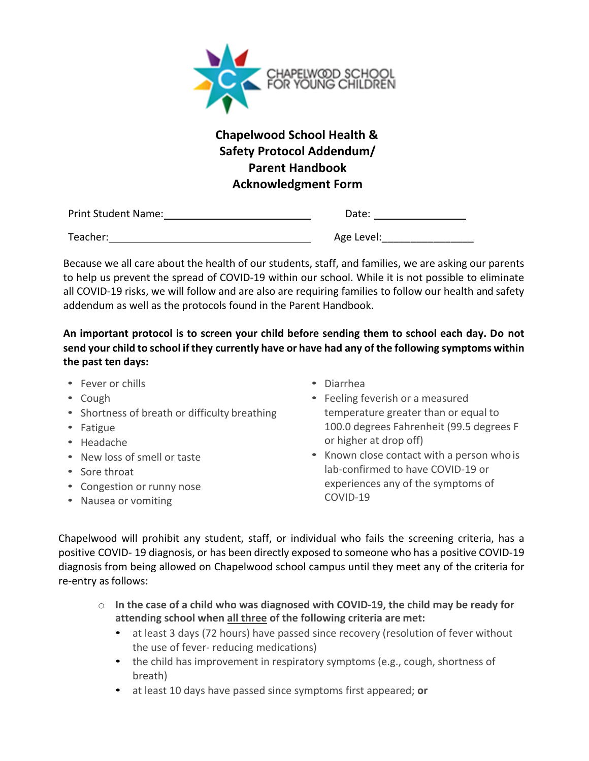

## **Chapelwood School Health & Safety Protocol Addendum/ Parent Handbook Acknowledgment Form**

| <b>Print Student Name:</b> | Date:      |
|----------------------------|------------|
| Teacher:                   | Age Level: |

Because we all care about the health of our students, staff, and families, we are asking our parents to help us prevent the spread of COVID-19 within our school. While it is not possible to eliminate all COVID-19 risks, we will follow and are also are requiring families to follow our health and safety addendum as well as the protocols found in the Parent Handbook.

**An important protocol is to screen your child before sending them to school each day. Do not send your child to school if they currently have or have had any of the following symptoms within the past ten days:**

- Fever or chills
- Cough
- Shortness of breath or difficulty breathing
- Fatigue
- Headache
- New loss of smell or taste
- Sore throat
- Congestion or runny nose
- Nausea or vomiting
- Diarrhea
- Feeling feverish or a measured temperature greater than or equal to 100.0 degrees Fahrenheit (99.5 degrees F or higher at drop off)
- Known close contact with a person who is lab-confirmed to have COVID-19 or experiences any of the symptoms of COVID-19

Chapelwood will prohibit any student, staff, or individual who fails the screening criteria, has a positive COVID- 19 diagnosis, or has been directly exposed to someone who has a positive COVID-19 diagnosis from being allowed on Chapelwood school campus until they meet any of the criteria for re-entry as follows:

- o **In the case of a child who was diagnosed with COVID-19, the child may be ready for attending school when all three of the following criteria are met:**
	- at least 3 days (72 hours) have passed since recovery (resolution of fever without the use of fever- reducing medications)
	- the child has improvement in respiratory symptoms (e.g., cough, shortness of breath)
	- at least 10 days have passed since symptoms first appeared; **or**